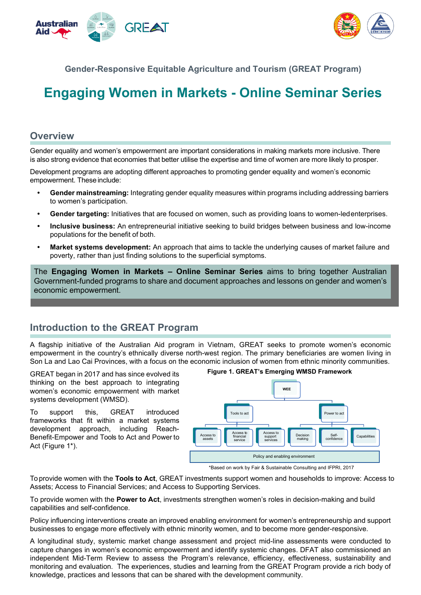



**Gender-Responsive Equitable Agriculture and Tourism (GREAT Program)**

# **Engaging Women in Markets - Online Seminar Series**

#### **Overview**

Gender equality and women's empowerment are important considerations in making markets more inclusive. There is also strong evidence that economies that better utilise the expertise and time of women are more likely to prosper.

Development programs are adopting different approaches to promoting gender equality and women's economic empowerment. These include:

- **• Gender mainstreaming:** Integrating gender equality measures within programs including addressing barriers to women's participation.
- **• Gender targeting:** Initiatives that are focused on women, such as providing loans to women-ledenterprises.
- **• Inclusive business:** An entrepreneurial initiative seeking to build bridges between business and low-income populations for the benefit of both.
- **• Market systems development:** An approach that aims to tackle the underlying causes of market failure and poverty, rather than just finding solutions to the superficial symptoms.

The **Engaging Women in Markets – Online Seminar Series** aims to bring together Australian Government-funded programs to share and document approaches and lessons on gender and women's economic empowerment.

### **Introduction to the GREAT Program**

A flagship initiative of the Australian Aid program in Vietnam, GREAT seeks to promote women's economic empowerment in the country's ethnically diverse north-west region. The primary beneficiaries are women living in Son La and Lao Cai Provinces, with a focus on the economic inclusion of women from ethnic minority communities.

GREAT began in 2017 and has since evolved its thinking on the best approach to integrating women's economic empowerment with market systems development (WMSD).

To support this, GREAT introduced frameworks that fit within a market systems development approach, including Reach-Benefit-Empower and Tools to Act and Power to Act (Figure 1\*).



\*Based on work by Fair & Sustainable Consulting and IFPRI, 2017

To provide women with the **Tools to Act**, GREAT investments support women and households to improve: Access to Assets; Access to Financial Services; and Access to Supporting Services.

To provide women with the **Power to Act**, investments strengthen women's roles in decision-making and build capabilities and self-confidence.

Policy influencing interventions create an improved enabling environment for women's entrepreneurship and support businesses to engage more effectively with ethnic minority women, and to become more gender-responsive.

A longitudinal study, systemic market change assessment and project mid-line assessments were conducted to capture changes in women's economic empowerment and identify systemic changes. DFAT also commissioned an independent Mid-Term Review to assess the Program's relevance, efficiency, effectiveness, sustainability and monitoring and evaluation. The experiences, studies and learning from the GREAT Program provide a rich body of knowledge, practices and lessons that can be shared with the development community.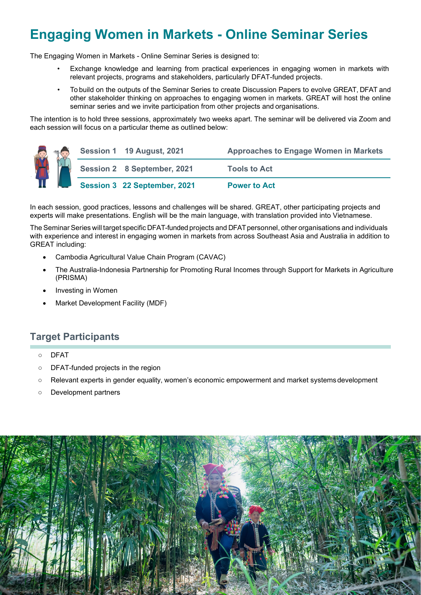# **Engaging Women in Markets - Online Seminar Series**

The Engaging Women in Markets - Online Seminar Series is designed to:

- Exchange knowledge and learning from practical experiences in engaging women in markets with relevant projects, programs and stakeholders, particularly DFAT-funded projects.
- To build on the outputs of the Seminar Series to create Discussion Papers to evolve GREAT, DFAT and other stakeholder thinking on approaches to engaging women in markets. GREAT will host the online seminar series and we invite participation from other projects and organisations.

The intention is to hold three sessions, approximately two weeks apart. The seminar will be delivered via Zoom and each session will focus on a particular theme as outlined below:



In each session, good practices, lessons and challenges will be shared. GREAT, other participating projects and experts will make presentations. English will be the main language, with translation provided into Vietnamese.

The Seminar Series will target specific DFAT-funded projects and DFAT personnel, other organisations and individuals with experience and interest in engaging women in markets from across Southeast Asia and Australia in addition to GREAT including:

- Cambodia Agricultural Value Chain Program (CAVAC)
- The Australia-Indonesia Partnership for Promoting Rural Incomes through Support for Markets in Agriculture (PRISMA)
- Investing in Women
- Market Development Facility (MDF)

### **Target Participants**

- DFAT
- DFAT-funded projects in the region
- Relevant experts in gender equality, women's economic empowerment and market systemsdevelopment
- Development partners

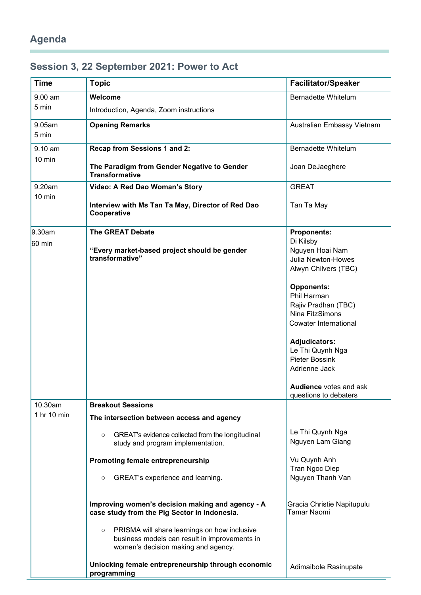## **Agenda**

## **Session 3, 22 September 2021: Power to Act**

| <b>Time</b>                 | <b>Topic</b>                                                                                                                                    | <b>Facilitator/Speaker</b>                                                                                        |
|-----------------------------|-------------------------------------------------------------------------------------------------------------------------------------------------|-------------------------------------------------------------------------------------------------------------------|
| $9.00$ am                   | Welcome                                                                                                                                         | <b>Bernadette Whitelum</b>                                                                                        |
| 5 min                       | Introduction, Agenda, Zoom instructions                                                                                                         |                                                                                                                   |
| 9.05am<br>5 min             | <b>Opening Remarks</b>                                                                                                                          | Australian Embassy Vietnam                                                                                        |
| 9.10 am<br>$10 \text{ min}$ | Recap from Sessions 1 and 2:                                                                                                                    | <b>Bernadette Whitelum</b>                                                                                        |
|                             | The Paradigm from Gender Negative to Gender<br><b>Transformative</b>                                                                            | Joan DeJaeghere                                                                                                   |
| 9.20am                      | Video: A Red Dao Woman's Story                                                                                                                  | <b>GREAT</b>                                                                                                      |
| 10 min                      | Interview with Ms Tan Ta May, Director of Red Dao<br>Cooperative                                                                                | Tan Ta May                                                                                                        |
| 9.30am                      | <b>The GREAT Debate</b>                                                                                                                         | <b>Proponents:</b>                                                                                                |
| $60 \text{ min}$            | "Every market-based project should be gender<br>transformative"                                                                                 | Di Kilsby<br>Nguyen Hoai Nam<br><b>Julia Newton-Howes</b><br>Alwyn Chilvers (TBC)                                 |
|                             |                                                                                                                                                 | <b>Opponents:</b><br>Phil Harman<br>Rajiv Pradhan (TBC)<br><b>Nina FitzSimons</b><br><b>Cowater International</b> |
|                             |                                                                                                                                                 | <b>Adjudicators:</b><br>Le Thi Quynh Nga<br><b>Pieter Bossink</b><br>Adrienne Jack                                |
|                             |                                                                                                                                                 | <b>Audience</b> votes and ask<br>questions to debaters                                                            |
| 10.30am                     | <b>Breakout Sessions</b>                                                                                                                        |                                                                                                                   |
| 1 hr 10 min                 | The intersection between access and agency                                                                                                      |                                                                                                                   |
|                             | GREAT's evidence collected from the longitudinal<br>$\circ$<br>study and program implementation.                                                | Le Thi Quynh Nga<br>Nguyen Lam Giang                                                                              |
|                             | Promoting female entrepreneurship                                                                                                               | Vu Quynh Anh<br>Tran Ngoc Diep                                                                                    |
|                             | GREAT's experience and learning.<br>$\circ$                                                                                                     | Nguyen Thanh Van                                                                                                  |
|                             | Improving women's decision making and agency - A<br>case study from the Pig Sector in Indonesia.                                                | Gracia Christie Napitupulu<br>Tamar Naomi                                                                         |
|                             | PRISMA will share learnings on how inclusive<br>$\circ$<br>business models can result in improvements in<br>women's decision making and agency. |                                                                                                                   |
|                             | Unlocking female entrepreneurship through economic<br>programming                                                                               | Adimaibole Rasinupate                                                                                             |